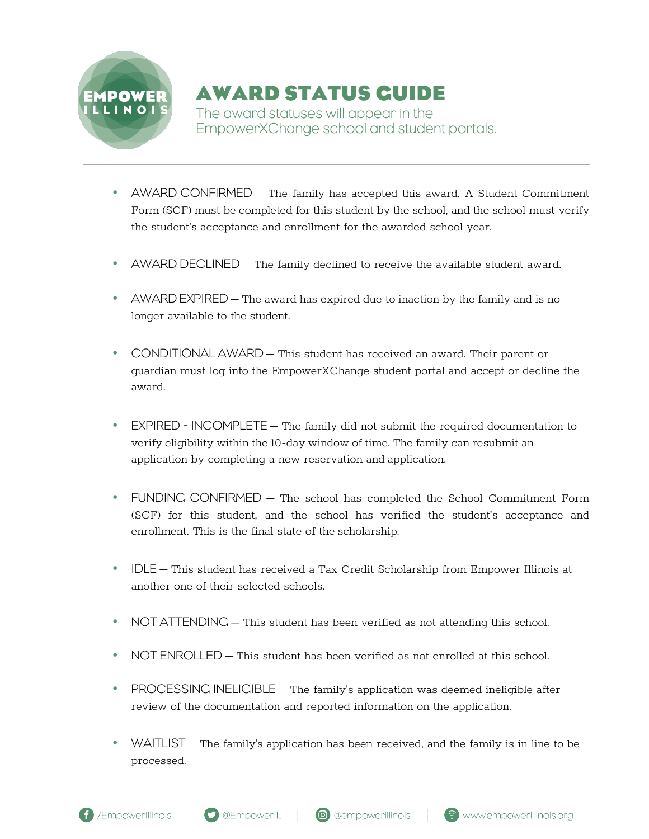

## **AWARD STATUS GUIDE**

The award statuses will appear in the EmpowerXChange school and student portals.

- AWARD CONFIRMED The family has accepted this award. A Student Commitment Form (SCF) must be completed for this student by the school, and the school must verify the student's acceptance and enrollment for the awarded school year.
- AWARD DECLINED The family declined to receive the available student award.
- AWARD EXPIRED The award has expired due to inaction by the family and is no longer available to the student.
- CONDITIONAL AWARD This student has received an award. Their parent or guardian must log into the EmpowerXChange student portal and accept or decline the award.
- EXPIRED INCOMPLETE The family did not submit the required documentation to verify eligibility within the 10-day window of time. The family can resubmit an application by completing a new reservation and application.
- FUNDING CONFIRMED The school has completed the School Commitment Form (SCF) for this student, and the school has verified the student's acceptance and enrollment. This is the final state of the scholarship.
- IDLE This student has received a Tax Credit Scholarship from Empower Illinois at another one of their selected schools.
- NOT ATTENDING This student has been verified as not attending this school.
- NOT ENROLLED This student has been verified as not enrolled at this school.
- PROCESSING INELIGIBLE The family's application was deemed ineligible after review of the documentation and reported information on the application.
- WAITLIST The family's application has been received, and the family is in line to be processed.